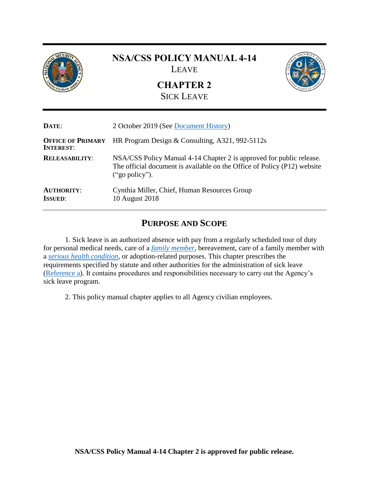

# **NSA/CSS POLICY MANUAL 4-14** LEAVE

**CHAPTER 2** SICK LEAVE



<span id="page-0-0"></span>

| DATE:                                        | 2 October 2019 (See Document History)                                                                                                                              |  |
|----------------------------------------------|--------------------------------------------------------------------------------------------------------------------------------------------------------------------|--|
| <b>OFFICE OF PRIMARY</b><br><b>INTEREST:</b> | HR Program Design & Consulting, A321, 992-5112s                                                                                                                    |  |
| <b>RELEASABILITY:</b>                        | NSA/CSS Policy Manual 4-14 Chapter 2 is approved for public release.<br>The official document is available on the Office of Policy (P12) website<br>("go policy"). |  |
| <b>AUTHORITY:</b><br><b>ISSUED:</b>          | Cynthia Miller, Chief, Human Resources Group<br>10 August 2018                                                                                                     |  |

## **PURPOSE AND SCOPE**

<span id="page-0-1"></span>1. Sick leave is an authorized absence with pay from a regularly scheduled tour of duty for personal medical needs, care of a *[family member](#page-15-0)*, bereavement, care of a family member with a *[serious health condition,](#page-17-0)* or adoption-related purposes. This chapter prescribes the requirements specified by statute and other authorities for the administration of sick leave [\(Reference a\)](#page-14-0). It contains procedures and responsibilities necessary to carry out the Agency's sick leave program.

2. This policy manual chapter applies to all Agency civilian employees.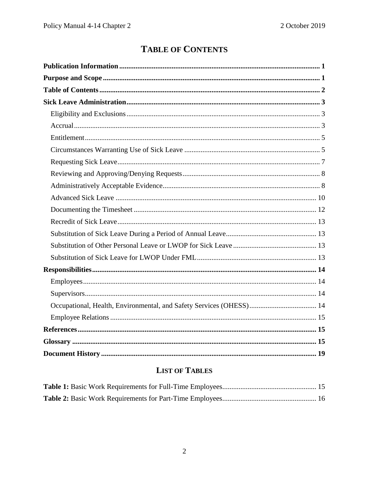# **TABLE OF CONTENTS**

<span id="page-1-0"></span>

# **LIST OF TABLES**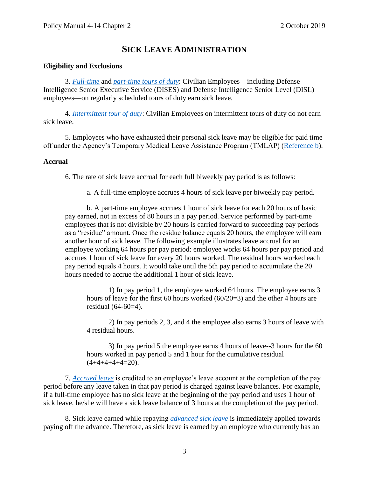## **SICK LEAVE ADMINISTRATION**

#### <span id="page-2-1"></span><span id="page-2-0"></span>**Eligibility and Exclusions**

3. *[Full-time](#page-16-0)* and *part-time [tours of duty](#page-17-1)*: Civilian Employees—including Defense Intelligence Senior Executive Service (DISES) and Defense Intelligence Senior Level (DISL) employees—on regularly scheduled tours of duty earn sick leave.

4. *[Intermittent tour of duty](#page-16-1)*: Civilian Employees on intermittent tours of duty do not earn sick leave.

5. Employees who have exhausted their personal sick leave may be eligible for paid time off under the Agency's Temporary Medical Leave Assistance Program (TMLAP) [\(Reference b\)](#page-14-5).

#### <span id="page-2-2"></span>**Accrual**

6. The rate of sick leave accrual for each full biweekly pay period is as follows:

a. A full-time employee accrues 4 hours of sick leave per biweekly pay period.

b. A part-time employee accrues 1 hour of sick leave for each 20 hours of basic pay earned, not in excess of 80 hours in a pay period. Service performed by part-time employees that is not divisible by 20 hours is carried forward to succeeding pay periods as a "residue" amount. Once the residue balance equals 20 hours, the employee will earn another hour of sick leave. The following example illustrates leave accrual for an employee working 64 hours per pay period: employee works 64 hours per pay period and accrues 1 hour of sick leave for every 20 hours worked. The residual hours worked each pay period equals 4 hours. It would take until the 5th pay period to accumulate the 20 hours needed to accrue the additional 1 hour of sick leave.

1) In pay period 1, the employee worked 64 hours. The employee earns 3 hours of leave for the first 60 hours worked (60/20=3) and the other 4 hours are residual (64-60=4).

2) In pay periods 2, 3, and 4 the employee also earns 3 hours of leave with 4 residual hours.

3) In pay period 5 the employee earns 4 hours of leave--3 hours for the 60 hours worked in pay period 5 and 1 hour for the cumulative residual  $(4+4+4+4+4=20)$ .

7. *[Accrued leave](#page-14-6)* is credited to an employee's leave account at the completion of the pay period before any leave taken in that pay period is charged against leave balances. For example, if a full-time employee has no sick leave at the beginning of the pay period and uses 1 hour of sick leave, he/she will have a sick leave balance of 3 hours at the completion of the pay period.

8. Sick leave earned while repaying *[advanced sick leave](#page-14-7)* is immediately applied towards paying off the advance. Therefore, as sick leave is earned by an employee who currently has an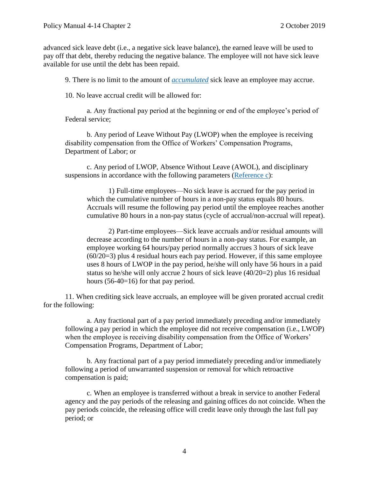advanced sick leave debt (i.e., a negative sick leave balance), the earned leave will be used to pay off that debt, thereby reducing the negative balance. The employee will not have sick leave available for use until the debt has been repaid.

9. There is no limit to the amount of *[accumulated](#page-14-8)* sick leave an employee may accrue.

10. No leave accrual credit will be allowed for:

a. Any fractional pay period at the beginning or end of the employee's period of Federal service;

b. Any period of Leave Without Pay (LWOP) when the employee is receiving disability compensation from the Office of Workers' Compensation Programs, Department of Labor; or

c. Any period of LWOP, Absence Without Leave (AWOL), and disciplinary suspensions in accordance with the following parameters [\(Reference c\)](#page-14-9):

1) Full-time employees—No sick leave is accrued for the pay period in which the cumulative number of hours in a non-pay status equals 80 hours. Accruals will resume the following pay period until the employee reaches another cumulative 80 hours in a non-pay status (cycle of accrual/non-accrual will repeat).

2) Part-time employees—Sick leave accruals and/or residual amounts will decrease according to the number of hours in a non-pay status. For example, an employee working 64 hours/pay period normally accrues 3 hours of sick leave (60/20=3) plus 4 residual hours each pay period. However, if this same employee uses 8 hours of LWOP in the pay period, he/she will only have 56 hours in a paid status so he/she will only accrue 2 hours of sick leave (40/20=2) plus 16 residual hours (56-40=16) for that pay period.

11. When crediting sick leave accruals, an employee will be given prorated accrual credit for the following:

a. Any fractional part of a pay period immediately preceding and/or immediately following a pay period in which the employee did not receive compensation (i.e., LWOP) when the employee is receiving disability compensation from the Office of Workers' Compensation Programs, Department of Labor;

b. Any fractional part of a pay period immediately preceding and/or immediately following a period of unwarranted suspension or removal for which retroactive compensation is paid;

c. When an employee is transferred without a break in service to another Federal agency and the pay periods of the releasing and gaining offices do not coincide. When the pay periods coincide, the releasing office will credit leave only through the last full pay period; or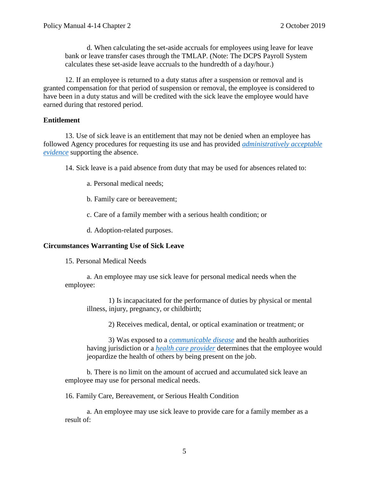d. When calculating the set-aside accruals for employees using leave for leave bank or leave transfer cases through the TMLAP. (Note: The DCPS Payroll System calculates these set-aside leave accruals to the hundredth of a day/hour.)

12. If an employee is returned to a duty status after a suspension or removal and is granted compensation for that period of suspension or removal, the employee is considered to have been in a duty status and will be credited with the sick leave the employee would have earned during that restored period.

#### <span id="page-4-0"></span>**Entitlement**

13. Use of sick leave is an entitlement that may not be denied when an employee has followed Agency procedures for requesting its use and has provided *[administratively acceptable](#page-14-10)  [evidence](#page-14-10)* supporting the absence.

14. Sick leave is a paid absence from duty that may be used for absences related to:

a. Personal medical needs;

b. Family care or bereavement;

c. Care of a family member with a serious health condition; or

d. Adoption-related purposes.

#### <span id="page-4-1"></span>**Circumstances Warranting Use of Sick Leave**

15. Personal Medical Needs

a. An employee may use sick leave for personal medical needs when the employee:

1) Is incapacitated for the performance of duties by physical or mental illness, injury, pregnancy, or childbirth;

2) Receives medical, dental, or optical examination or treatment; or

3) Was exposed to a *[communicable disease](#page-15-2)* and the health authorities having jurisdiction or a *[health care provider](#page-16-2)* determines that the employee would jeopardize the health of others by being present on the job.

b. There is no limit on the amount of accrued and accumulated sick leave an employee may use for personal medical needs.

16. Family Care, Bereavement, or Serious Health Condition

a. An employee may use sick leave to provide care for a family member as a result of: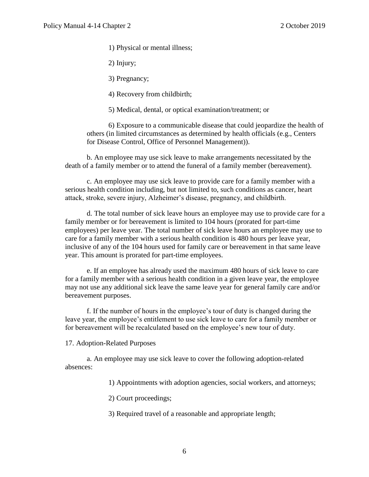1) Physical or mental illness;

2) Injury;

3) Pregnancy;

4) Recovery from childbirth;

5) Medical, dental, or optical examination/treatment; or

6) Exposure to a communicable disease that could jeopardize the health of others (in limited circumstances as determined by health officials (e.g., Centers for Disease Control, Office of Personnel Management)).

b. An employee may use sick leave to make arrangements necessitated by the death of a family member or to attend the funeral of a family member (bereavement).

c. An employee may use sick leave to provide care for a family member with a serious health condition including, but not limited to, such conditions as cancer, heart attack, stroke, severe injury, Alzheimer's disease, pregnancy, and childbirth.

d. The total number of sick leave hours an employee may use to provide care for a family member or for bereavement is limited to 104 hours (prorated for part-time employees) per leave year. The total number of sick leave hours an employee may use to care for a family member with a serious health condition is 480 hours per leave year, inclusive of any of the 104 hours used for family care or bereavement in that same leave year. This amount is prorated for part-time employees.

e. If an employee has already used the maximum 480 hours of sick leave to care for a family member with a serious health condition in a given leave year, the employee may not use any additional sick leave the same leave year for general family care and/or bereavement purposes.

f. If the number of hours in the employee's tour of duty is changed during the leave year, the employee's entitlement to use sick leave to care for a family member or for bereavement will be recalculated based on the employee's new tour of duty.

17. Adoption-Related Purposes

a. An employee may use sick leave to cover the following adoption-related absences:

1) Appointments with adoption agencies, social workers, and attorneys;

2) Court proceedings;

3) Required travel of a reasonable and appropriate length;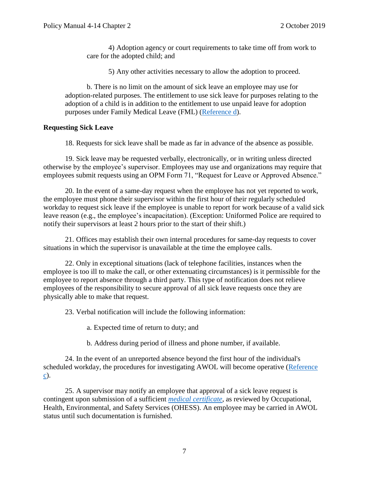4) Adoption agency or court requirements to take time off from work to care for the adopted child; and

5) Any other activities necessary to allow the adoption to proceed.

b. There is no limit on the amount of sick leave an employee may use for adoption-related purposes. The entitlement to use sick leave for purposes relating to the adoption of a child is in addition to the entitlement to use unpaid leave for adoption purposes under Family Medical Leave (FML) [\(Reference d\)](#page-14-11).

#### <span id="page-6-0"></span>**Requesting Sick Leave**

18. Requests for sick leave shall be made as far in advance of the absence as possible.

19. Sick leave may be requested verbally, electronically, or in writing unless directed otherwise by the employee's supervisor. Employees may use and organizations may require that employees submit requests using an OPM Form 71, "Request for Leave or Approved Absence."

20. In the event of a same-day request when the employee has not yet reported to work, the employee must phone their supervisor within the first hour of their regularly scheduled workday to request sick leave if the employee is unable to report for work because of a valid sick leave reason (e.g., the employee's incapacitation). (Exception: Uniformed Police are required to notify their supervisors at least 2 hours prior to the start of their shift.)

21. Offices may establish their own internal procedures for same-day requests to cover situations in which the supervisor is unavailable at the time the employee calls.

22. Only in exceptional situations (lack of telephone facilities, instances when the employee is too ill to make the call, or other extenuating circumstances) is it permissible for the employee to report absence through a third party. This type of notification does not relieve employees of the responsibility to secure approval of all sick leave requests once they are physically able to make that request.

23. Verbal notification will include the following information:

a. Expected time of return to duty; and

b. Address during period of illness and phone number, if available.

24. In the event of an unreported absence beyond the first hour of the individual's scheduled workday, the procedures for investigating AWOL will become operative [\(Reference](#page-14-9)  [c\)](#page-14-9).

25. A supervisor may notify an employee that approval of a sick leave request is contingent upon submission of a sufficient *[medical certificate](#page-16-3)*, as reviewed by Occupational, Health, Environmental, and Safety Services (OHESS). An employee may be carried in AWOL status until such documentation is furnished.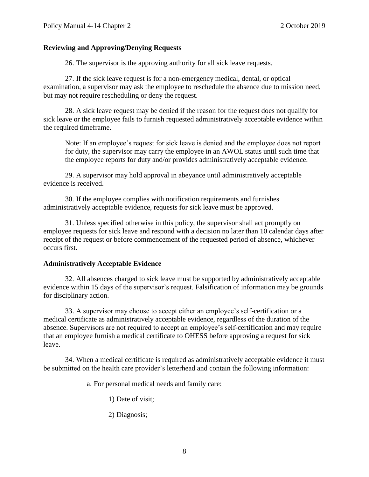#### <span id="page-7-0"></span>**Reviewing and Approving/Denying Requests**

26. The supervisor is the approving authority for all sick leave requests.

27. If the sick leave request is for a non-emergency medical, dental, or optical examination, a supervisor may ask the employee to reschedule the absence due to mission need, but may not require rescheduling or deny the request.

28. A sick leave request may be denied if the reason for the request does not qualify for sick leave or the employee fails to furnish requested administratively acceptable evidence within the required timeframe.

Note: If an employee's request for sick leave is denied and the employee does not report for duty, the supervisor may carry the employee in an AWOL status until such time that the employee reports for duty and/or provides administratively acceptable evidence.

29. A supervisor may hold approval in abeyance until administratively acceptable evidence is received.

30. If the employee complies with notification requirements and furnishes administratively acceptable evidence, requests for sick leave must be approved.

31. Unless specified otherwise in this policy, the supervisor shall act promptly on employee requests for sick leave and respond with a decision no later than 10 calendar days after receipt of the request or before commencement of the requested period of absence, whichever occurs first.

#### <span id="page-7-1"></span>**Administratively Acceptable Evidence**

32. All absences charged to sick leave must be supported by administratively acceptable evidence within 15 days of the supervisor's request. Falsification of information may be grounds for disciplinary action.

33. A supervisor may choose to accept either an employee's self-certification or a medical certificate as administratively acceptable evidence, regardless of the duration of the absence. Supervisors are not required to accept an employee's self-certification and may require that an employee furnish a medical certificate to OHESS before approving a request for sick leave.

34. When a medical certificate is required as administratively acceptable evidence it must be submitted on the health care provider's letterhead and contain the following information:

a. For personal medical needs and family care:

1) Date of visit;

2) Diagnosis;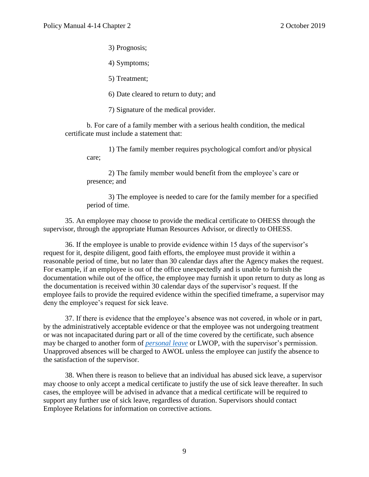3) Prognosis;

4) Symptoms;

5) Treatment;

6) Date cleared to return to duty; and

7) Signature of the medical provider.

b. For care of a family member with a serious health condition, the medical certificate must include a statement that:

1) The family member requires psychological comfort and/or physical care;

2) The family member would benefit from the employee's care or presence; and

3) The employee is needed to care for the family member for a specified period of time.

35. An employee may choose to provide the medical certificate to OHESS through the supervisor, through the appropriate Human Resources Advisor, or directly to OHESS.

36. If the employee is unable to provide evidence within 15 days of the supervisor's request for it, despite diligent, good faith efforts, the employee must provide it within a reasonable period of time, but no later than 30 calendar days after the Agency makes the request. For example, if an employee is out of the office unexpectedly and is unable to furnish the documentation while out of the office, the employee may furnish it upon return to duty as long as the documentation is received within 30 calendar days of the supervisor's request. If the employee fails to provide the required evidence within the specified timeframe, a supervisor may deny the employee's request for sick leave.

37. If there is evidence that the employee's absence was not covered, in whole or in part, by the administratively acceptable evidence or that the employee was not undergoing treatment or was not incapacitated during part or all of the time covered by the certificate, such absence may be charged to another form of *[personal leave](#page-17-2)* or LWOP, with the supervisor's permission. Unapproved absences will be charged to AWOL unless the employee can justify the absence to the satisfaction of the supervisor.

38. When there is reason to believe that an individual has abused sick leave, a supervisor may choose to only accept a medical certificate to justify the use of sick leave thereafter. In such cases, the employee will be advised in advance that a medical certificate will be required to support any further use of sick leave, regardless of duration. Supervisors should contact Employee Relations for information on corrective actions.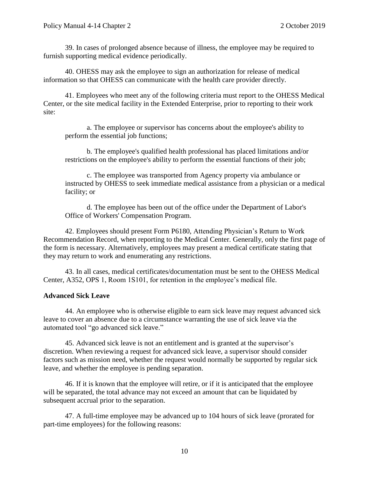39. In cases of prolonged absence because of illness, the employee may be required to furnish supporting medical evidence periodically.

40. OHESS may ask the employee to sign an authorization for release of medical information so that OHESS can communicate with the health care provider directly.

41. Employees who meet any of the following criteria must report to the OHESS Medical Center, or the site medical facility in the Extended Enterprise, prior to reporting to their work site:

a. The employee or supervisor has concerns about the employee's ability to perform the essential job functions;

b. The employee's qualified health professional has placed limitations and/or restrictions on the employee's ability to perform the essential functions of their job;

c. The employee was transported from Agency property via ambulance or instructed by OHESS to seek immediate medical assistance from a physician or a medical facility; or

d. The employee has been out of the office under the Department of Labor's Office of Workers' Compensation Program.

42. Employees should present Form P6180, Attending Physician's Return to Work Recommendation Record, when reporting to the Medical Center. Generally, only the first page of the form is necessary. Alternatively, employees may present a medical certificate stating that they may return to work and enumerating any restrictions.

43. In all cases, medical certificates/documentation must be sent to the OHESS Medical Center, A352, OPS 1, Room 1S101, for retention in the employee's medical file.

#### <span id="page-9-0"></span>**Advanced Sick Leave**

44. An employee who is otherwise eligible to earn sick leave may request advanced sick leave to cover an absence due to a circumstance warranting the use of sick leave via the automated tool "go advanced sick leave."

45. Advanced sick leave is not an entitlement and is granted at the supervisor's discretion. When reviewing a request for advanced sick leave, a supervisor should consider factors such as mission need, whether the request would normally be supported by regular sick leave, and whether the employee is pending separation.

46. If it is known that the employee will retire, or if it is anticipated that the employee will be separated, the total advance may not exceed an amount that can be liquidated by subsequent accrual prior to the separation.

47. A full-time employee may be advanced up to 104 hours of sick leave (prorated for part-time employees) for the following reasons: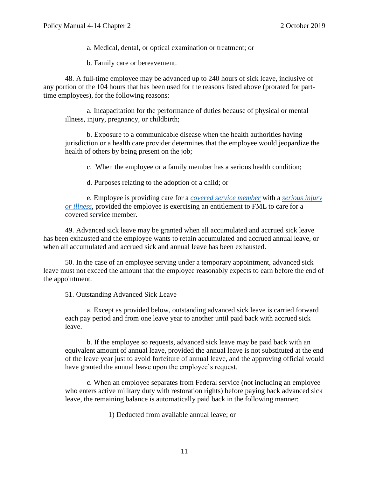a. Medical, dental, or optical examination or treatment; or

b. Family care or bereavement.

48. A full-time employee may be advanced up to 240 hours of sick leave, inclusive of any portion of the 104 hours that has been used for the reasons listed above (prorated for parttime employees), for the following reasons:

a. Incapacitation for the performance of duties because of physical or mental illness, injury, pregnancy, or childbirth;

b. Exposure to a communicable disease when the health authorities having jurisdiction or a health care provider determines that the employee would jeopardize the health of others by being present on the job;

c. When the employee or a family member has a serious health condition;

d. Purposes relating to the adoption of a child; or

e. Employee is providing care for a *[covered service member](#page-15-3)* with a *[serious injury](#page-17-3)  [or illness](#page-17-3)*, provided the employee is exercising an entitlement to FML to care for a covered service member.

49. Advanced sick leave may be granted when all accumulated and accrued sick leave has been exhausted and the employee wants to retain accumulated and accrued annual leave, or when all accumulated and accrued sick and annual leave has been exhausted.

50. In the case of an employee serving under a temporary appointment, advanced sick leave must not exceed the amount that the employee reasonably expects to earn before the end of the appointment.

51. Outstanding Advanced Sick Leave

a. Except as provided below, outstanding advanced sick leave is carried forward each pay period and from one leave year to another until paid back with accrued sick leave.

b. If the employee so requests, advanced sick leave may be paid back with an equivalent amount of annual leave, provided the annual leave is not substituted at the end of the leave year just to avoid forfeiture of annual leave, and the approving official would have granted the annual leave upon the employee's request.

c. When an employee separates from Federal service (not including an employee who enters active military duty with restoration rights) before paying back advanced sick leave, the remaining balance is automatically paid back in the following manner:

1) Deducted from available annual leave; or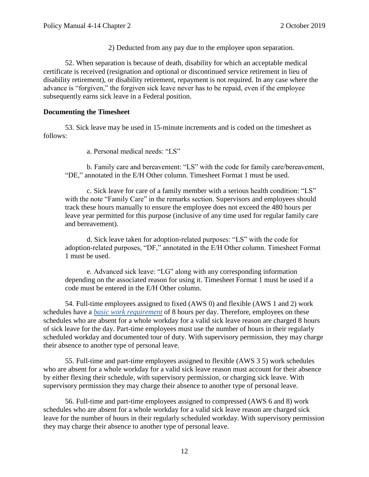2) Deducted from any pay due to the employee upon separation.

52. When separation is because of death, disability for which an acceptable medical certificate is received (resignation and optional or discontinued service retirement in lieu of disability retirement), or disability retirement, repayment is not required. In any case where the advance is "forgiven," the forgiven sick leave never has to be repaid, even if the employee subsequently earns sick leave in a Federal position.

#### <span id="page-11-0"></span>**Documenting the Timesheet**

53. Sick leave may be used in 15-minute increments and is coded on the timesheet as follows:

a. Personal medical needs: "LS"

b. Family care and bereavement: "LS" with the code for family care/bereavement, "DE," annotated in the E/H Other column. Timesheet Format 1 must be used.

c. Sick leave for care of a family member with a serious health condition: "LS" with the note "Family Care" in the remarks section. Supervisors and employees should track these hours manually to ensure the employee does not exceed the 480 hours per leave year permitted for this purpose (inclusive of any time used for regular family care and bereavement).

d. Sick leave taken for adoption-related purposes: "LS" with the code for adoption-related purposes, "DF," annotated in the E/H Other column. Timesheet Format 1 must be used.

e. Advanced sick leave: "LG" along with any corresponding information depending on the associated reason for using it. Timesheet Format 1 must be used if a code must be entered in the E/H Other column.

54. Full-time employees assigned to fixed (AWS 0) and flexible (AWS 1 and 2) work schedules have a *[basic work requirement](#page-14-12)* of 8 hours per day. Therefore, employees on these schedules who are absent for a whole workday for a valid sick leave reason are charged 8 hours of sick leave for the day. Part-time employees must use the number of hours in their regularly scheduled workday and documented tour of duty. With supervisory permission, they may charge their absence to another type of personal leave.

55. Full-time and part-time employees assigned to flexible (AWS 3 5) work schedules who are absent for a whole workday for a valid sick leave reason must account for their absence by either flexing their schedule, with supervisory permission, or charging sick leave. With supervisory permission they may charge their absence to another type of personal leave.

56. Full-time and part-time employees assigned to compressed (AWS 6 and 8) work schedules who are absent for a whole workday for a valid sick leave reason are charged sick leave for the number of hours in their regularly scheduled workday. With supervisory permission they may charge their absence to another type of personal leave.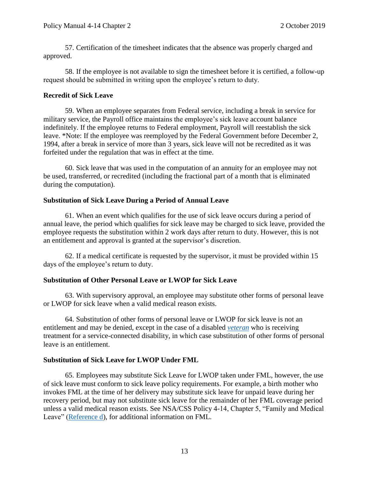57. Certification of the timesheet indicates that the absence was properly charged and approved.

58. If the employee is not available to sign the timesheet before it is certified, a follow-up request should be submitted in writing upon the employee's return to duty.

#### <span id="page-12-0"></span>**Recredit of Sick Leave**

59. When an employee separates from Federal service, including a break in service for military service, the Payroll office maintains the employee's sick leave account balance indefinitely. If the employee returns to Federal employment, Payroll will reestablish the sick leave. \*Note: If the employee was reemployed by the Federal Government before December 2, 1994, after a break in service of more than 3 years, sick leave will not be recredited as it was forfeited under the regulation that was in effect at the time.

60. Sick leave that was used in the computation of an annuity for an employee may not be used, transferred, or recredited (including the fractional part of a month that is eliminated during the computation).

#### <span id="page-12-1"></span>**Substitution of Sick Leave During a Period of Annual Leave**

61. When an event which qualifies for the use of sick leave occurs during a period of annual leave, the period which qualifies for sick leave may be charged to sick leave, provided the employee requests the substitution within 2 work days after return to duty. However, this is not an entitlement and approval is granted at the supervisor's discretion.

62. If a medical certificate is requested by the supervisor, it must be provided within 15 days of the employee's return to duty.

### <span id="page-12-2"></span>**Substitution of Other Personal Leave or LWOP for Sick Leave**

63. With supervisory approval, an employee may substitute other forms of personal leave or LWOP for sick leave when a valid medical reason exists.

64. Substitution of other forms of personal leave or LWOP for sick leave is not an entitlement and may be denied, except in the case of a disabled *[veteran](#page-18-1)* who is receiving treatment for a service-connected disability, in which case substitution of other forms of personal leave is an entitlement.

#### <span id="page-12-3"></span>**Substitution of Sick Leave for LWOP Under FML**

65. Employees may substitute Sick Leave for LWOP taken under FML, however, the use of sick leave must conform to sick leave policy requirements. For example, a birth mother who invokes FML at the time of her delivery may substitute sick leave for unpaid leave during her recovery period, but may not substitute sick leave for the remainder of her FML coverage period unless a valid medical reason exists. See NSA/CSS Policy 4-14, Chapter 5, "Family and Medical Leave" [\(Reference d\)](#page-14-11), for additional information on FML.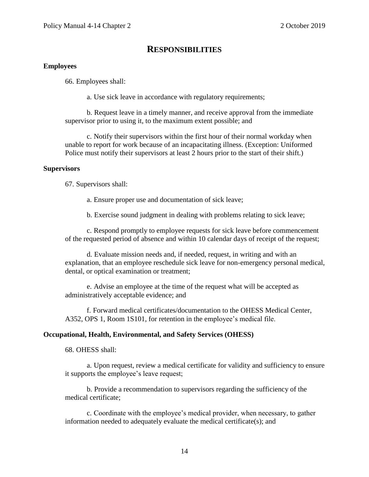### **RESPONSIBILITIES**

#### <span id="page-13-1"></span><span id="page-13-0"></span>**Employees**

66. Employees shall:

a. Use sick leave in accordance with regulatory requirements;

b. Request leave in a timely manner, and receive approval from the immediate supervisor prior to using it, to the maximum extent possible; and

c. Notify their supervisors within the first hour of their normal workday when unable to report for work because of an incapacitating illness. (Exception: Uniformed Police must notify their supervisors at least 2 hours prior to the start of their shift.)

#### <span id="page-13-2"></span>**Supervisors**

67. Supervisors shall:

a. Ensure proper use and documentation of sick leave;

b. Exercise sound judgment in dealing with problems relating to sick leave;

c. Respond promptly to employee requests for sick leave before commencement of the requested period of absence and within 10 calendar days of receipt of the request;

d. Evaluate mission needs and, if needed, request, in writing and with an explanation, that an employee reschedule sick leave for non-emergency personal medical, dental, or optical examination or treatment;

e. Advise an employee at the time of the request what will be accepted as administratively acceptable evidence; and

f. Forward medical certificates/documentation to the OHESS Medical Center, A352, OPS 1, Room 1S101, for retention in the employee's medical file.

#### <span id="page-13-3"></span>**Occupational, Health, Environmental, and Safety Services (OHESS)**

68. OHESS shall:

a. Upon request, review a medical certificate for validity and sufficiency to ensure it supports the employee's leave request;

b. Provide a recommendation to supervisors regarding the sufficiency of the medical certificate;

c. Coordinate with the employee's medical provider, when necessary, to gather information needed to adequately evaluate the medical certificate(s); and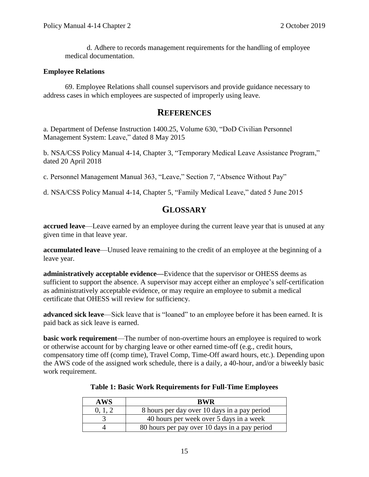d. Adhere to records management requirements for the handling of employee medical documentation.

#### <span id="page-14-1"></span>**Employee Relations**

69. Employee Relations shall counsel supervisors and provide guidance necessary to address cases in which employees are suspected of improperly using leave.

### **REFERENCES**

<span id="page-14-2"></span><span id="page-14-0"></span>a. Department of Defense Instruction 1400.25, Volume 630, "DoD Civilian Personnel Management System: Leave," dated 8 May 2015

<span id="page-14-5"></span>b. NSA/CSS Policy Manual 4-14, Chapter 3, "Temporary Medical Leave Assistance Program," dated 20 April 2018

<span id="page-14-9"></span>c. Personnel Management Manual 363, "Leave," Section 7, "Absence Without Pay"

<span id="page-14-11"></span><span id="page-14-3"></span>d. NSA/CSS Policy Manual 4-14, Chapter 5, "Family Medical Leave," dated 5 June 2015

## **GLOSSARY**

<span id="page-14-6"></span>**accrued leave**—Leave earned by an employee during the current leave year that is unused at any given time in that leave year.

<span id="page-14-8"></span>**accumulated leave**—Unused leave remaining to the credit of an employee at the beginning of a leave year.

<span id="page-14-10"></span>**administratively acceptable evidence—**Evidence that the supervisor or OHESS deems as sufficient to support the absence. A supervisor may accept either an employee's self-certification as administratively acceptable evidence, or may require an employee to submit a medical certificate that OHESS will review for sufficiency.

<span id="page-14-7"></span>**advanced sick leave**—Sick leave that is "loaned" to an employee before it has been earned. It is paid back as sick leave is earned.

<span id="page-14-12"></span>**basic work requirement**—The number of non-overtime hours an employee is required to work or otherwise account for by charging leave or other earned time-off (e.g., credit hours, compensatory time off (comp time), Travel Comp, Time-Off award hours, etc.). Depending upon the AWS code of the assigned work schedule, there is a daily, a 40-hour, and/or a biweekly basic work requirement.

<span id="page-14-4"></span>

| <b>AWS</b> | <b>RWR</b>                                    |
|------------|-----------------------------------------------|
| 0, 1, 2    | 8 hours per day over 10 days in a pay period  |
|            | 40 hours per week over 5 days in a week       |
|            | 80 hours per pay over 10 days in a pay period |

**Table 1: Basic Work Requirements for Full-Time Employees**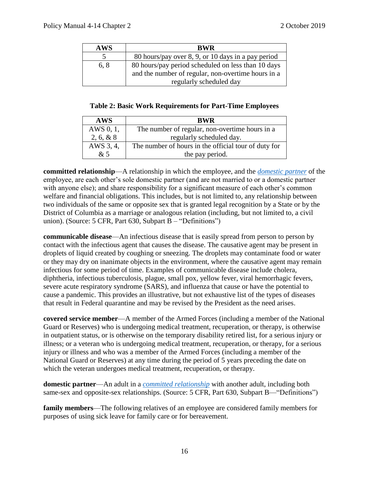| <b>AWS</b> | <b>BWR</b>                                         |
|------------|----------------------------------------------------|
|            | 80 hours/pay over 8, 9, or 10 days in a pay period |
| 6, 8       | 80 hours/pay period scheduled on less than 10 days |
|            | and the number of regular, non-overtime hours in a |
|            | regularly scheduled day                            |

|  | <b>Table 2: Basic Work Requirements for Part-Time Employees</b> |  |
|--|-----------------------------------------------------------------|--|
|  |                                                                 |  |

<span id="page-15-1"></span>

| <b>AWS</b> | <b>BWR</b>                                           |
|------------|------------------------------------------------------|
| AWS 0, 1,  | The number of regular, non-overtime hours in a       |
| 2, 6, 8, 8 | regularly scheduled day.                             |
| AWS 3, 4,  | The number of hours in the official tour of duty for |
| &5         | the pay period.                                      |

<span id="page-15-5"></span>**committed relationship**—A relationship in which the employee, and the *[domestic partner](#page-15-4)* of the employee, are each other's sole domestic partner (and are not married to or a domestic partner with anyone else); and share responsibility for a significant measure of each other's common welfare and financial obligations. This includes, but is not limited to, any relationship between two individuals of the same or opposite sex that is granted legal recognition by a State or by the District of Columbia as a marriage or analogous relation (including, but not limited to, a civil union). (Source: 5 CFR, Part 630, Subpart B – "Definitions")

<span id="page-15-2"></span>**communicable disease**—An infectious disease that is easily spread from person to person by contact with the infectious agent that causes the disease. The causative agent may be present in droplets of liquid created by coughing or sneezing. The droplets may contaminate food or water or they may dry on inanimate objects in the environment, where the causative agent may remain infectious for some period of time. Examples of communicable disease include cholera, diphtheria, infectious tuberculosis, plague, small pox, yellow fever, viral hemorrhagic fevers, severe acute respiratory syndrome (SARS), and influenza that cause or have the potential to cause a pandemic. This provides an illustrative, but not exhaustive list of the types of diseases that result in Federal quarantine and may be revised by the President as the need arises.

<span id="page-15-3"></span>**covered service member**—A member of the Armed Forces (including a member of the National Guard or Reserves) who is undergoing medical treatment, recuperation, or therapy, is otherwise in outpatient status, or is otherwise on the temporary disability retired list, for a serious injury or illness; or a veteran who is undergoing medical treatment, recuperation, or therapy, for a serious injury or illness and who was a member of the Armed Forces (including a member of the National Guard or Reserves) at any time during the period of 5 years preceding the date on which the veteran undergoes medical treatment, recuperation, or therapy.

<span id="page-15-4"></span>**domestic partner**—An adult in a *[committed relationship](#page-15-5)* with another adult, including both same-sex and opposite-sex relationships. (Source: 5 CFR, Part 630, Subpart B—"Definitions")

<span id="page-15-0"></span>**family members**—The following relatives of an employee are considered family members for purposes of using sick leave for family care or for bereavement.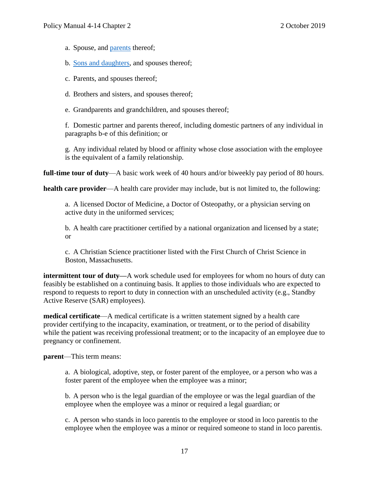a. Spouse, and **parents** thereof;

b. [Sons and daughters,](#page-18-2) and spouses thereof;

c. Parents, and spouses thereof;

d. Brothers and sisters, and spouses thereof;

e. Grandparents and grandchildren, and spouses thereof;

f. Domestic partner and parents thereof, including domestic partners of any individual in paragraphs b-e of this definition; or

g. Any individual related by blood or affinity whose close association with the employee is the equivalent of a family relationship.

<span id="page-16-0"></span>**full-time tour of duty**—A basic work week of 40 hours and/or biweekly pay period of 80 hours.

<span id="page-16-2"></span>**health care provider**—A health care provider may include, but is not limited to, the following:

a. A licensed Doctor of Medicine, a Doctor of Osteopathy, or a physician serving on active duty in the uniformed services;

b. A health care practitioner certified by a national organization and licensed by a state; or

c. A Christian Science practitioner listed with the First Church of Christ Science in Boston, Massachusetts.

<span id="page-16-1"></span>**intermittent <b>tour of duty—**A work schedule used for employees for whom no hours of duty can feasibly be established on a continuing basis. It applies to those individuals who are expected to respond to requests to report to duty in connection with an unscheduled activity (e.g., Standby Active Reserve (SAR) employees).

<span id="page-16-3"></span>**medical certificate**—A medical certificate is a written statement signed by a health care provider certifying to the incapacity, examination, or treatment, or to the period of disability while the patient was receiving professional treatment; or to the incapacity of an employee due to pregnancy or confinement.

<span id="page-16-4"></span>**parent**—This term means:

a. A biological, adoptive, step, or foster parent of the employee, or a person who was a foster parent of the employee when the employee was a minor;

b. A person who is the legal guardian of the employee or was the legal guardian of the employee when the employee was a minor or required a legal guardian; or

c. A person who stands in loco parentis to the employee or stood in loco parentis to the employee when the employee was a minor or required someone to stand in loco parentis.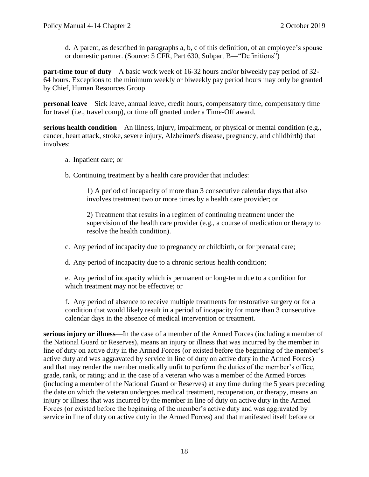d. A parent, as described in paragraphs a, b, c of this definition, of an employee's spouse or domestic partner. (Source: 5 CFR, Part 630, Subpart B—"Definitions")

<span id="page-17-1"></span>**part-time tour of duty**—A basic work week of 16-32 hours and/or biweekly pay period of 32- 64 hours. Exceptions to the minimum weekly or biweekly pay period hours may only be granted by Chief, Human Resources Group.

<span id="page-17-2"></span>**personal leave**—Sick leave, annual leave, credit hours, compensatory time, compensatory time for travel (i.e., travel comp), or time off granted under a Time-Off award.

<span id="page-17-0"></span>**serious health condition**—An illness, injury, impairment, or physical or mental condition (e.g., cancer, heart attack, stroke, severe injury, Alzheimer's disease, pregnancy, and childbirth) that involves:

- a. Inpatient care; or
- b. Continuing treatment by a health care provider that includes:

1) A period of incapacity of more than 3 consecutive calendar days that also involves treatment two or more times by a health care provider; or

2) Treatment that results in a regimen of continuing treatment under the supervision of the health care provider (e.g., a course of medication or therapy to resolve the health condition).

- c. Any period of incapacity due to pregnancy or childbirth, or for prenatal care;
- d. Any period of incapacity due to a chronic serious health condition;

e. Any period of incapacity which is permanent or long-term due to a condition for which treatment may not be effective; or

f. Any period of absence to receive multiple treatments for restorative surgery or for a condition that would likely result in a period of incapacity for more than 3 consecutive calendar days in the absence of medical intervention or treatment.

<span id="page-17-3"></span>**serious injury or illness**—In the case of a member of the Armed Forces (including a member of the National Guard or Reserves), means an injury or illness that was incurred by the member in line of duty on active duty in the Armed Forces (or existed before the beginning of the member's active duty and was aggravated by service in line of duty on active duty in the Armed Forces) and that may render the member medically unfit to perform the duties of the member's office, grade, rank, or rating; and in the case of a veteran who was a member of the Armed Forces (including a member of the National Guard or Reserves) at any time during the 5 years preceding the date on which the veteran undergoes medical treatment, recuperation, or therapy, means an injury or illness that was incurred by the member in line of duty on active duty in the Armed Forces (or existed before the beginning of the member's active duty and was aggravated by service in line of duty on active duty in the Armed Forces) and that manifested itself before or